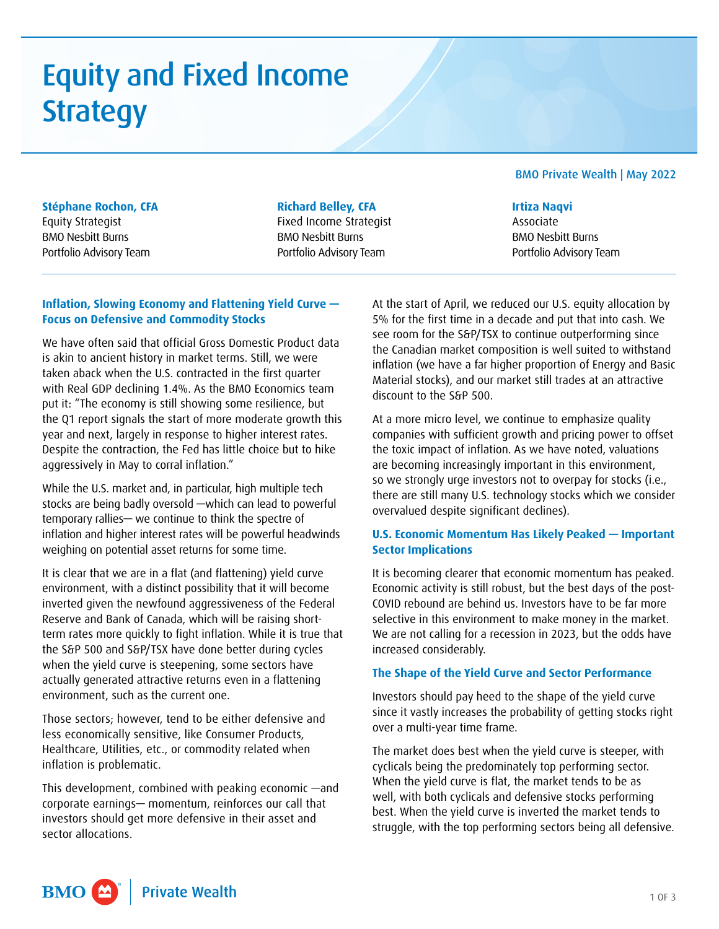# Equity and Fixed Income **Strategy**

### BMO Private Wealth | May 2022

## **Stéphane Rochon, CFA**

Equity Strategist BMO Nesbitt Burns Portfolio Advisory Team

#### **Richard Belley, CFA**

Fixed Income Strategist BMO Nesbitt Burns Portfolio Advisory Team

#### **Irtiza Naqvi**

Associate BMO Nesbitt Burns Portfolio Advisory Team

## **Inflation, Slowing Economy and Flattening Yield Curve — Focus on Defensive and Commodity Stocks**

We have often said that official Gross Domestic Product data is akin to ancient history in market terms. Still, we were taken aback when the U.S. contracted in the first quarter with Real GDP declining 1.4%. As the BMO Economics team put it: "The economy is still showing some resilience, but the Q1 report signals the start of more moderate growth this year and next, largely in response to higher interest rates. Despite the contraction, the Fed has little choice but to hike aggressively in May to corral inflation."

While the U.S. market and, in particular, high multiple tech stocks are being badly oversold —which can lead to powerful temporary rallies— we continue to think the spectre of inflation and higher interest rates will be powerful headwinds weighing on potential asset returns for some time.

It is clear that we are in a flat (and flattening) yield curve environment, with a distinct possibility that it will become inverted given the newfound aggressiveness of the Federal Reserve and Bank of Canada, which will be raising shortterm rates more quickly to fight inflation. While it is true that the S&P 500 and S&P/TSX have done better during cycles when the yield curve is steepening, some sectors have actually generated attractive returns even in a flattening environment, such as the current one.

Those sectors; however, tend to be either defensive and less economically sensitive, like Consumer Products, Healthcare, Utilities, etc., or commodity related when inflation is problematic.

This development, combined with peaking economic —and corporate earnings— momentum, reinforces our call that investors should get more defensive in their asset and sector allocations.

At the start of April, we reduced our U.S. equity allocation by 5% for the first time in a decade and put that into cash. We see room for the S&P/TSX to continue outperforming since the Canadian market composition is well suited to withstand inflation (we have a far higher proportion of Energy and Basic Material stocks), and our market still trades at an attractive discount to the S&P 500.

At a more micro level, we continue to emphasize quality companies with sufficient growth and pricing power to offset the toxic impact of inflation. As we have noted, valuations are becoming increasingly important in this environment, so we strongly urge investors not to overpay for stocks (i.e., there are still many U.S. technology stocks which we consider overvalued despite significant declines).

## **U.S. Economic Momentum Has Likely Peaked — Important Sector Implications**

It is becoming clearer that economic momentum has peaked. Economic activity is still robust, but the best days of the post-COVID rebound are behind us. Investors have to be far more selective in this environment to make money in the market. We are not calling for a recession in 2023, but the odds have increased considerably.

#### **The Shape of the Yield Curve and Sector Performance**

Investors should pay heed to the shape of the yield curve since it vastly increases the probability of getting stocks right over a multi-year time frame.

The market does best when the yield curve is steeper, with cyclicals being the predominately top performing sector. When the yield curve is flat, the market tends to be as well, with both cyclicals and defensive stocks performing best. When the yield curve is inverted the market tends to struggle, with the top performing sectors being all defensive.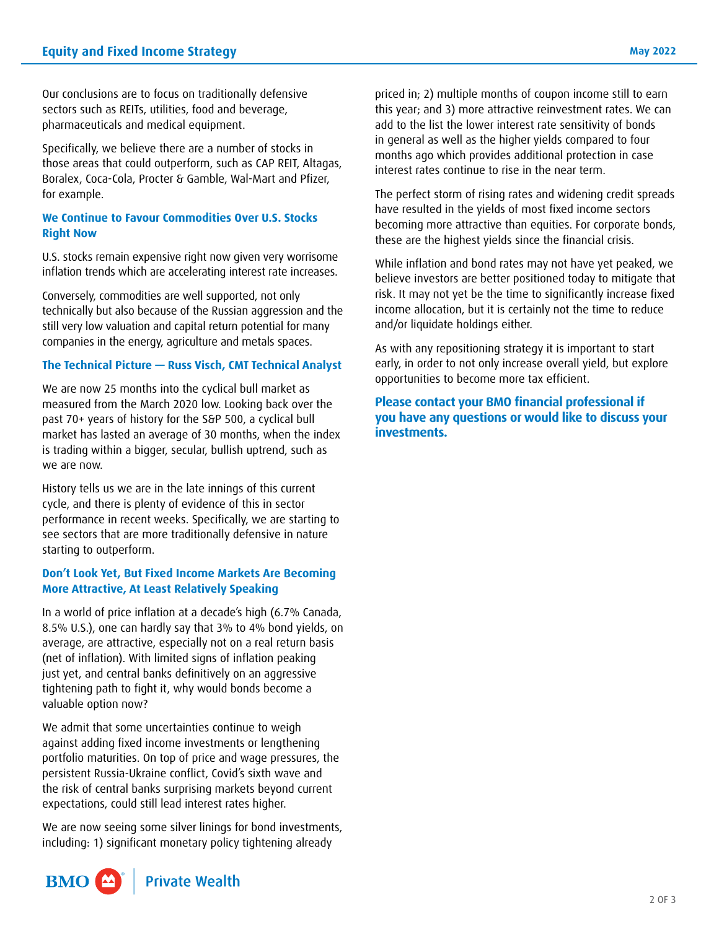Our conclusions are to focus on traditionally defensive sectors such as REITs, utilities, food and beverage, pharmaceuticals and medical equipment.

Specifically, we believe there are a number of stocks in those areas that could outperform, such as CAP REIT, Altagas, Boralex, Coca-Cola, Procter & Gamble, Wal-Mart and Pfizer, for example.

#### **We Continue to Favour Commodities Over U.S. Stocks Right Now**

U.S. stocks remain expensive right now given very worrisome inflation trends which are accelerating interest rate increases.

Conversely, commodities are well supported, not only technically but also because of the Russian aggression and the still very low valuation and capital return potential for many companies in the energy, agriculture and metals spaces.

#### **The Technical Picture — Russ Visch, CMT Technical Analyst**

We are now 25 months into the cyclical bull market as measured from the March 2020 low. Looking back over the past 70+ years of history for the S&P 500, a cyclical bull market has lasted an average of 30 months, when the index is trading within a bigger, secular, bullish uptrend, such as we are now.

History tells us we are in the late innings of this current cycle, and there is plenty of evidence of this in sector performance in recent weeks. Specifically, we are starting to see sectors that are more traditionally defensive in nature starting to outperform.

## **Don't Look Yet, But Fixed Income Markets Are Becoming More Attractive, At Least Relatively Speaking**

In a world of price inflation at a decade's high (6.7% Canada, 8.5% U.S.), one can hardly say that 3% to 4% bond yields, on average, are attractive, especially not on a real return basis (net of inflation). With limited signs of inflation peaking just yet, and central banks definitively on an aggressive tightening path to fight it, why would bonds become a valuable option now?

We admit that some uncertainties continue to weigh against adding fixed income investments or lengthening portfolio maturities. On top of price and wage pressures, the persistent Russia-Ukraine conflict, Covid's sixth wave and the risk of central banks surprising markets beyond current expectations, could still lead interest rates higher.

We are now seeing some silver linings for bond investments, including: 1) significant monetary policy tightening already

priced in; 2) multiple months of coupon income still to earn this year; and 3) more attractive reinvestment rates. We can add to the list the lower interest rate sensitivity of bonds in general as well as the higher yields compared to four months ago which provides additional protection in case interest rates continue to rise in the near term.

The perfect storm of rising rates and widening credit spreads have resulted in the yields of most fixed income sectors becoming more attractive than equities. For corporate bonds, these are the highest yields since the financial crisis.

While inflation and bond rates may not have yet peaked, we believe investors are better positioned today to mitigate that risk. It may not yet be the time to significantly increase fixed income allocation, but it is certainly not the time to reduce and/or liquidate holdings either.

As with any repositioning strategy it is important to start early, in order to not only increase overall yield, but explore opportunities to become more tax efficient.

**Please contact your BMO financial professional if you have any questions or would like to discuss your investments.**